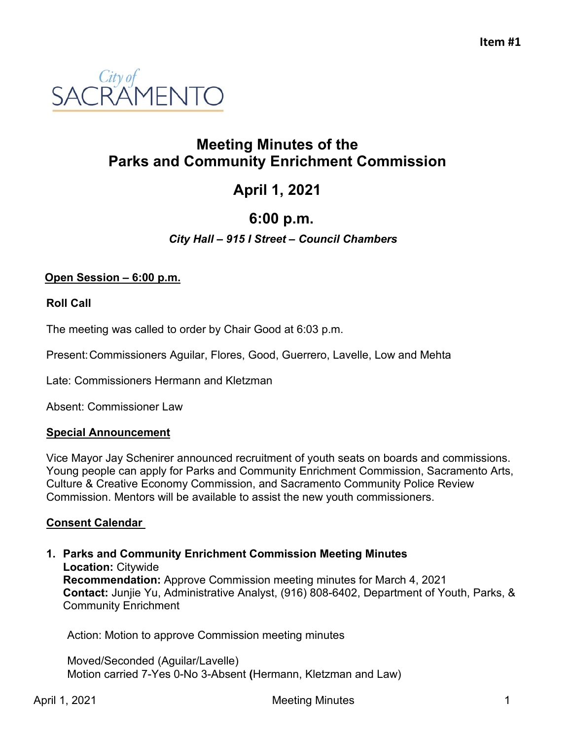

# **Meeting Minutes of the Parks and Community Enrichment Commission**

# **April 1, 2021**

# **6:00 p.m.**

# *City Hall – 915 I Street – Council Chambers*

# **Open Session – 6:00 p.m.**

#### **Roll Call**

The meeting was called to order by Chair Good at 6:03 p.m.

Present:Commissioners Aguilar, Flores, Good, Guerrero, Lavelle, Low and Mehta

Late: Commissioners Hermann and Kletzman

Absent: Commissioner Law

#### **Special Announcement**

Vice Mayor Jay Schenirer announced recruitment of youth seats on boards and commissions. Young people can apply for Parks and Community Enrichment Commission, Sacramento Arts, Culture & Creative Economy Commission, and Sacramento Community Police Review Commission. Mentors will be available to assist the new youth commissioners.

#### **Consent Calendar**

**1. Parks and Community Enrichment Commission Meeting Minutes Location:** Citywide **Recommendation:** Approve Commission meeting minutes for March 4, 2021 **Contact:** Junjie Yu, Administrative Analyst, (916) 808-6402, Department of Youth, Parks, & Community Enrichment

Action: Motion to approve Commission meeting minutes

Moved/Seconded (Aguilar/Lavelle) Motion carried 7-Yes 0-No 3-Absent **(**Hermann, Kletzman and Law)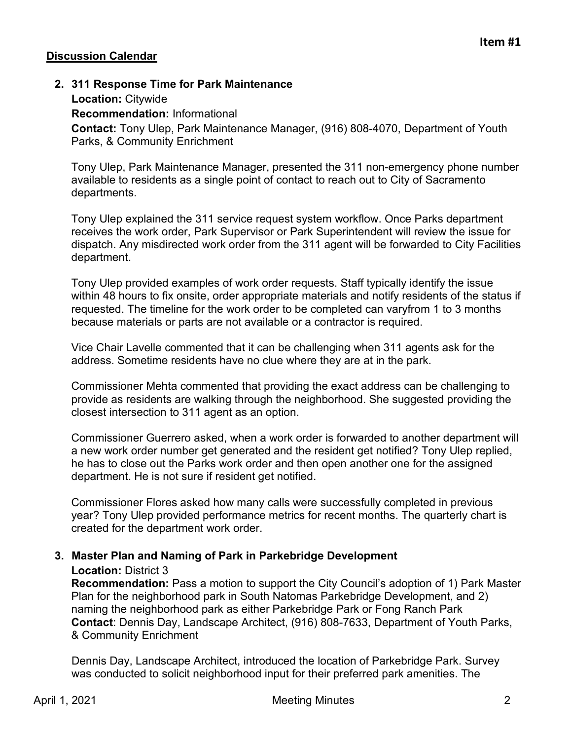# **Discussion Calendar**

# **2. 311 Response Time for Park Maintenance**

#### **Location:** Citywide

**Recommendation:** Informational

**Contact:** Tony Ulep, Park Maintenance Manager, (916) 808-4070, Department of Youth Parks, & Community Enrichment

Tony Ulep, Park Maintenance Manager, presented the 311 non-emergency phone number available to residents as a single point of contact to reach out to City of Sacramento departments.

Tony Ulep explained the 311 service request system workflow. Once Parks department receives the work order, Park Supervisor or Park Superintendent will review the issue for dispatch. Any misdirected work order from the 311 agent will be forwarded to City Facilities department.

Tony Ulep provided examples of work order requests. Staff typically identify the issue within 48 hours to fix onsite, order appropriate materials and notify residents of the status if requested. The timeline for the work order to be completed can varyfrom 1 to 3 months because materials or parts are not available or a contractor is required.

Vice Chair Lavelle commented that it can be challenging when 311 agents ask for the address. Sometime residents have no clue where they are at in the park.

Commissioner Mehta commented that providing the exact address can be challenging to provide as residents are walking through the neighborhood. She suggested providing the closest intersection to 311 agent as an option.

Commissioner Guerrero asked, when a work order is forwarded to another department will a new work order number get generated and the resident get notified? Tony Ulep replied, he has to close out the Parks work order and then open another one for the assigned department. He is not sure if resident get notified.

Commissioner Flores asked how many calls were successfully completed in previous year? Tony Ulep provided performance metrics for recent months. The quarterly chart is created for the department work order.

# **3. Master Plan and Naming of Park in Parkebridge Development**

#### **Location:** District 3

**Recommendation:** Pass a motion to support the City Council's adoption of 1) Park Master Plan for the neighborhood park in South Natomas Parkebridge Development, and 2) naming the neighborhood park as either Parkebridge Park or Fong Ranch Park **Contact**: Dennis Day, Landscape Architect, (916) 808-7633, Department of Youth Parks, & Community Enrichment

Dennis Day, Landscape Architect, introduced the location of Parkebridge Park. Survey was conducted to solicit neighborhood input for their preferred park amenities. The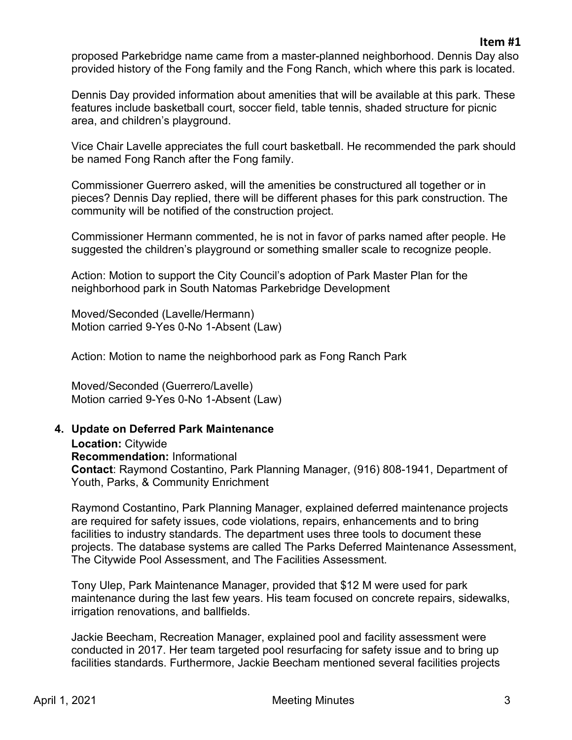proposed Parkebridge name came from a master-planned neighborhood. Dennis Day also provided history of the Fong family and the Fong Ranch, which where this park is located.

Dennis Day provided information about amenities that will be available at this park. These features include basketball court, soccer field, table tennis, shaded structure for picnic area, and children's playground.

Vice Chair Lavelle appreciates the full court basketball. He recommended the park should be named Fong Ranch after the Fong family.

Commissioner Guerrero asked, will the amenities be constructured all together or in pieces? Dennis Day replied, there will be different phases for this park construction. The community will be notified of the construction project.

Commissioner Hermann commented, he is not in favor of parks named after people. He suggested the children's playground or something smaller scale to recognize people.

Action: Motion to support the City Council's adoption of Park Master Plan for the neighborhood park in South Natomas Parkebridge Development

Moved/Seconded (Lavelle/Hermann) Motion carried 9-Yes 0-No 1-Absent (Law)

Action: Motion to name the neighborhood park as Fong Ranch Park

Moved/Seconded (Guerrero/Lavelle) Motion carried 9-Yes 0-No 1-Absent (Law)

#### **4. Update on Deferred Park Maintenance**

**Location:** Citywide **Recommendation:** Informational **Contact**: Raymond Costantino, Park Planning Manager, (916) 808-1941, Department of Youth, Parks, & Community Enrichment

Raymond Costantino, Park Planning Manager, explained deferred maintenance projects are required for safety issues, code violations, repairs, enhancements and to bring facilities to industry standards. The department uses three tools to document these projects. The database systems are called The Parks Deferred Maintenance Assessment, The Citywide Pool Assessment, and The Facilities Assessment.

Tony Ulep, Park Maintenance Manager, provided that \$12 M were used for park maintenance during the last few years. His team focused on concrete repairs, sidewalks, irrigation renovations, and ballfields.

Jackie Beecham, Recreation Manager, explained pool and facility assessment were conducted in 2017. Her team targeted pool resurfacing for safety issue and to bring up facilities standards. Furthermore, Jackie Beecham mentioned several facilities projects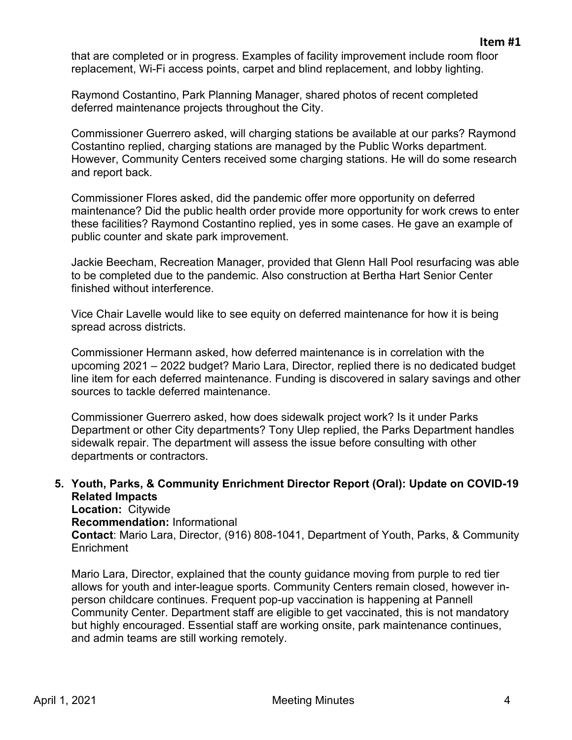that are completed or in progress. Examples of facility improvement include room floor replacement, Wi-Fi access points, carpet and blind replacement, and lobby lighting.

Raymond Costantino, Park Planning Manager, shared photos of recent completed deferred maintenance projects throughout the City.

Commissioner Guerrero asked, will charging stations be available at our parks? Raymond Costantino replied, charging stations are managed by the Public Works department. However, Community Centers received some charging stations. He will do some research and report back.

Commissioner Flores asked, did the pandemic offer more opportunity on deferred maintenance? Did the public health order provide more opportunity for work crews to enter these facilities? Raymond Costantino replied, yes in some cases. He gave an example of public counter and skate park improvement.

Jackie Beecham, Recreation Manager, provided that Glenn Hall Pool resurfacing was able to be completed due to the pandemic. Also construction at Bertha Hart Senior Center finished without interference.

Vice Chair Lavelle would like to see equity on deferred maintenance for how it is being spread across districts.

Commissioner Hermann asked, how deferred maintenance is in correlation with the upcoming 2021 – 2022 budget? Mario Lara, Director, replied there is no dedicated budget line item for each deferred maintenance. Funding is discovered in salary savings and other sources to tackle deferred maintenance.

Commissioner Guerrero asked, how does sidewalk project work? Is it under Parks Department or other City departments? Tony Ulep replied, the Parks Department handles sidewalk repair. The department will assess the issue before consulting with other departments or contractors.

# **5. Youth, Parks, & Community Enrichment Director Report (Oral): Update on COVID-19 Related Impacts**

**Location:** Citywide

**Recommendation:** Informational

**Contact**: Mario Lara, Director, (916) 808-1041, Department of Youth, Parks, & Community **Enrichment** 

Mario Lara, Director, explained that the county guidance moving from purple to red tier allows for youth and inter-league sports. Community Centers remain closed, however inperson childcare continues. Frequent pop-up vaccination is happening at Pannell Community Center. Department staff are eligible to get vaccinated, this is not mandatory but highly encouraged. Essential staff are working onsite, park maintenance continues, and admin teams are still working remotely.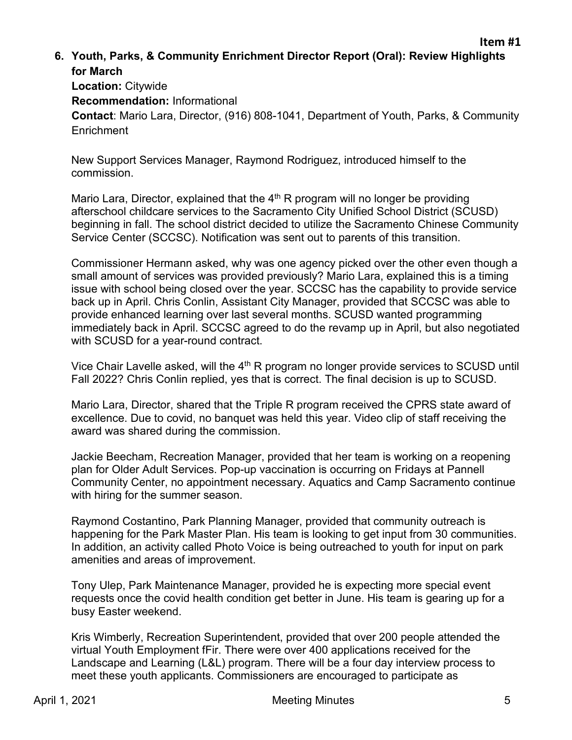# **6. Youth, Parks, & Community Enrichment Director Report (Oral): Review Highlights for March**

**Location:** Citywide **Recommendation:** Informational **Contact**: Mario Lara, Director, (916) 808-1041, Department of Youth, Parks, & Community **Enrichment** 

New Support Services Manager, Raymond Rodriguez, introduced himself to the commission.

Mario Lara, Director, explained that the  $4<sup>th</sup>$  R program will no longer be providing afterschool childcare services to the Sacramento City Unified School District (SCUSD) beginning in fall. The school district decided to utilize the Sacramento Chinese Community Service Center (SCCSC). Notification was sent out to parents of this transition.

Commissioner Hermann asked, why was one agency picked over the other even though a small amount of services was provided previously? Mario Lara, explained this is a timing issue with school being closed over the year. SCCSC has the capability to provide service back up in April. Chris Conlin, Assistant City Manager, provided that SCCSC was able to provide enhanced learning over last several months. SCUSD wanted programming immediately back in April. SCCSC agreed to do the revamp up in April, but also negotiated with SCUSD for a year-round contract.

Vice Chair Lavelle asked, will the 4<sup>th</sup> R program no longer provide services to SCUSD until Fall 2022? Chris Conlin replied, yes that is correct. The final decision is up to SCUSD.

Mario Lara, Director, shared that the Triple R program received the CPRS state award of excellence. Due to covid, no banquet was held this year. Video clip of staff receiving the award was shared during the commission.

Jackie Beecham, Recreation Manager, provided that her team is working on a reopening plan for Older Adult Services. Pop-up vaccination is occurring on Fridays at Pannell Community Center, no appointment necessary. Aquatics and Camp Sacramento continue with hiring for the summer season.

Raymond Costantino, Park Planning Manager, provided that community outreach is happening for the Park Master Plan. His team is looking to get input from 30 communities. In addition, an activity called Photo Voice is being outreached to youth for input on park amenities and areas of improvement.

Tony Ulep, Park Maintenance Manager, provided he is expecting more special event requests once the covid health condition get better in June. His team is gearing up for a busy Easter weekend.

Kris Wimberly, Recreation Superintendent, provided that over 200 people attended the virtual Youth Employment fFir. There were over 400 applications received for the Landscape and Learning (L&L) program. There will be a four day interview process to meet these youth applicants. Commissioners are encouraged to participate as

**Item #1**